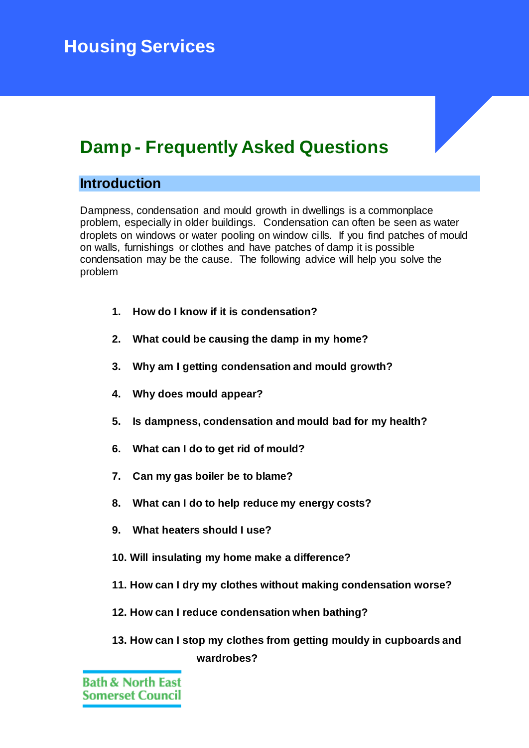# **Damp - Frequently Asked Questions**

# **Introduction**

Dampness, condensation and mould growth in dwellings is a commonplace problem, especially in older buildings. Condensation can often be seen as water droplets on windows or water pooling on window cills. If you find patches of mould on walls, furnishings or clothes and have patches of damp it is possible condensation may be the cause. The following advice will help you solve the problem

- **1. How do I know if it is condensation?**
- **2. What could be causing the damp in my home?**
- **3. Why am I getting condensation and mould growth?**
- **4. Why does mould appear?**
- **5. Is dampness, condensation and mould bad for my health?**
- **6. What can I do to get rid of mould?**
- **7. Can my gas boiler be to blame?**
- **8. What can I do to help reduce my energy costs?**
- **9. What heaters should I use?**
- **10. Will insulating my home make a difference?**
- **11. How can I dry my clothes without making condensation worse?**
- **12. How can I reduce condensation when bathing?**
- **13. How can I stop my clothes from getting mouldy in cupboards and wardrobes?**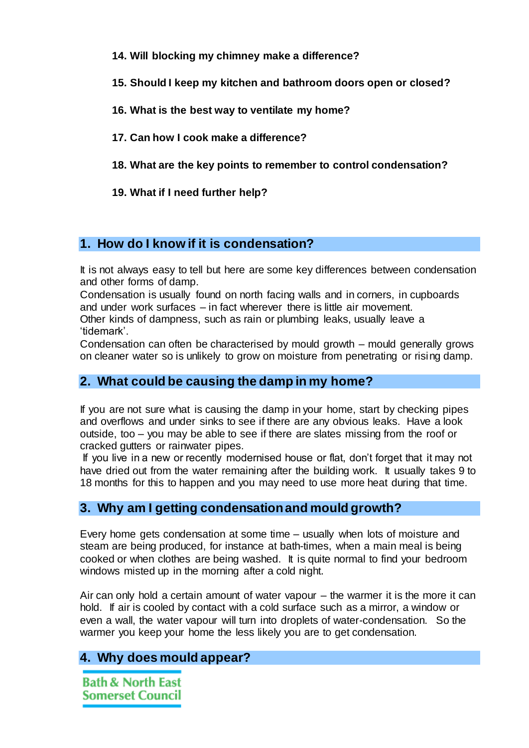- **14. Will blocking my chimney make a difference?**
- **15. [Should I keep my kitchen and bathroom doors open or closed?](http://wwwi/Housing/privatehousing/housingconditions/Pages/Damp-FAQs.aspx#shouldikeep)**
- **16. What is the best way to ventilate my home?**
- **17. Can how I cook make a difference?**
- **18. What are the key points to remember to control condensation?**
- **19. What if I need further help?**

## **1. How do I know if it is condensation?**

It is not always easy to tell but here are some key differences between condensation and other forms of damp.

Condensation is usually found on north facing walls and in corners, in cupboards and under work surfaces – in fact wherever there is little air movement.

Other kinds of dampness, such as rain or plumbing leaks, usually leave a 'tidemark'.

Condensation can often be characterised by mould growth – mould generally grows on cleaner water so is unlikely to grow on moisture from penetrating or rising damp.

# **2. What could be causing the damp in my home?**

If you are not sure what is causing the damp in your home, start by checking pipes and overflows and under sinks to see if there are any obvious leaks. Have a look outside, too – you may be able to see if there are slates missing from the roof or cracked gutters or rainwater pipes.

If you live in a new or recently modernised house or flat, don't forget that it may not have dried out from the water remaining after the building work. It usually takes 9 to 18 months for this to happen and you may need to use more heat during that time.

## **3. Why am I getting condensation and mould growth?**

Every home gets condensation at some time – usually when lots of moisture and steam are being produced, for instance at bath-times, when a main meal is being cooked or when clothes are being washed. It is quite normal to find your bedroom windows misted up in the morning after a cold night.

Air can only hold a certain amount of water vapour – the warmer it is the more it can hold. If air is cooled by contact with a cold surface such as a mirror, a window or even a wall, the water vapour will turn into droplets of water-condensation. So the warmer you keep your home the less likely you are to get condensation.

# **4. Why does mould appear?**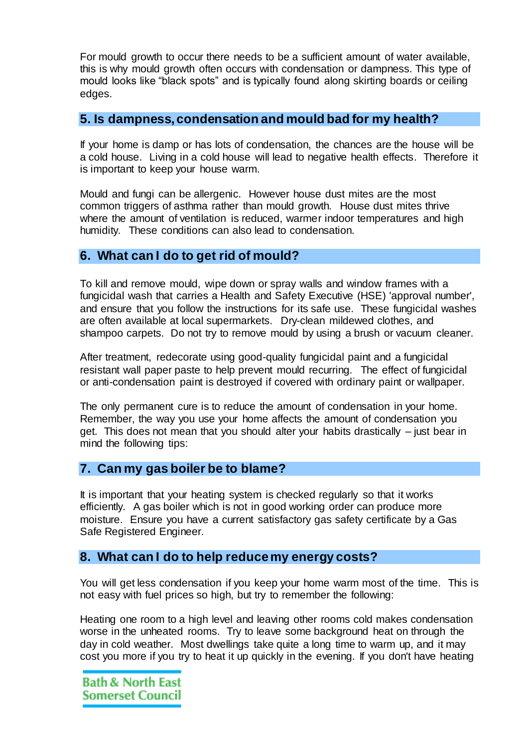For mould growth to occur there needs to be a sufficient amount of water available, this is why mould growth often occurs with condensation or dampness. This type of mould looks like "black spots" and is typically found along skirting boards or ceiling edges.

### **5. Is dampness, condensation and mould bad for my health?**

If your home is damp or has lots of condensation, the chances are the house will be a cold house. Living in a cold house will lead to negative health effects. Therefore it is important to keep your house warm.

Mould and fungi can be allergenic. However house dust mites are the most common triggers of asthma rather than mould growth. House dust mites thrive where the amount of ventilation is reduced, warmer indoor temperatures and high humidity. These conditions can also lead to condensation.

## **6. What can I do to get rid of mould?**

To kill and remove mould, wipe down or spray walls and window frames with a fungicidal wash that carries a Health and Safety Executive (HSE) 'approval number', and ensure that you follow the instructions for its safe use. These fungicidal washes are often available at local supermarkets. Dry-clean mildewed clothes, and shampoo carpets. Do not try to remove mould by using a brush or vacuum cleaner.

After treatment, redecorate using good-quality fungicidal paint and a fungicidal resistant wall paper paste to help prevent mould recurring. The effect of fungicidal or anti-condensation paint is destroyed if covered with ordinary paint or wallpaper.

The only permanent cure is to reduce the amount of condensation in your home. Remember, the way you use your home affects the amount of condensation you get. This does not mean that you should alter your habits drastically – just bear in mind the following tips:

## **7. Can my gas boiler be to blame?**

It is important that your heating system is checked regularly so that it works efficiently. A gas boiler which is not in good working order can produce more moisture. Ensure you have a current satisfactory gas safety certificate by a Gas Safe Registered Engineer.

## **8. What can I do to help reduce my energy costs?**

You will get less condensation if you keep your home warm most of the time. This is not easy with fuel prices so high, but try to remember the following:

Heating one room to a high level and leaving other rooms cold makes condensation worse in the unheated rooms. Try to leave some background heat on through the day in cold weather. Most dwellings take quite a long time to warm up, and it may cost you more if you try to heat it up quickly in the evening. If you don't have heating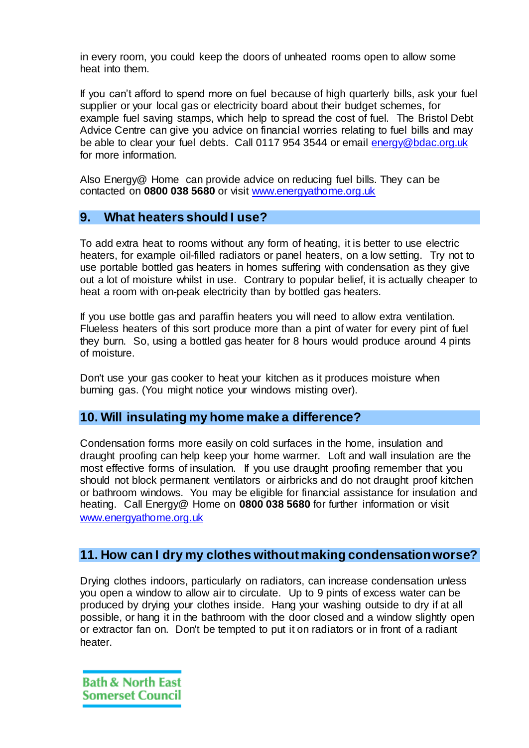in every room, you could keep the doors of unheated rooms open to allow some heat into them.

If you can't afford to spend more on fuel because of high quarterly bills, ask your fuel supplier or your local gas or electricity board about their budget schemes, for example fuel saving stamps, which help to spread the cost of fuel. The Bristol Debt Advice Centre can give you advice on financial worries relating to fuel bills and may be able to clear your fuel debts. Call 0117 954 3544 or email [energy@bdac.org.uk](mailto:energy@bdac.org.uk) for more information.

Also Energy@ Home can provide advice on reducing fuel bills. They can be contacted on **0800 038 5680** or visit [www.energyathome.org.uk](http://www.energyathome.org.uk/)

## **9. What heaters should I use?**

To add extra heat to rooms without any form of heating, it is better to use electric heaters, for example oil-filled radiators or panel heaters, on a low setting. Try not to use portable bottled gas heaters in homes suffering with condensation as they give out a lot of moisture whilst in use. Contrary to popular belief, it is actually cheaper to heat a room with on-peak electricity than by bottled gas heaters.

If you use bottle gas and paraffin heaters you will need to allow extra ventilation. Flueless heaters of this sort produce more than a pint of water for every pint of fuel they burn. So, using a bottled gas heater for 8 hours would produce around 4 pints of moisture.

Don't use your gas cooker to heat your kitchen as it produces moisture when burning gas. (You might notice your windows misting over).

#### **10. Will insulating my home make a difference?**

Condensation forms more easily on cold surfaces in the home, insulation and draught proofing can help keep your home warmer. Loft and wall insulation are the most effective forms of insulation. If you use draught proofing remember that you should not block permanent ventilators or airbricks and do not draught proof kitchen or bathroom windows. You may be eligible for financial assistance for insulation and heating. Call Energy@ Home on **0800 038 5680** for further information or visit [www.energyathome.org.uk](http://www.energyathome.org.uk/)

## **11. How can I dry my clothes without making condensation worse?**

Drying clothes indoors, particularly on radiators, can increase condensation unless you open a window to allow air to circulate. Up to 9 pints of excess water can be produced by drying your clothes inside. Hang your washing outside to dry if at all possible, or hang it in the bathroom with the door closed and a window slightly open or extractor fan on. Don't be tempted to put it on radiators or in front of a radiant heater.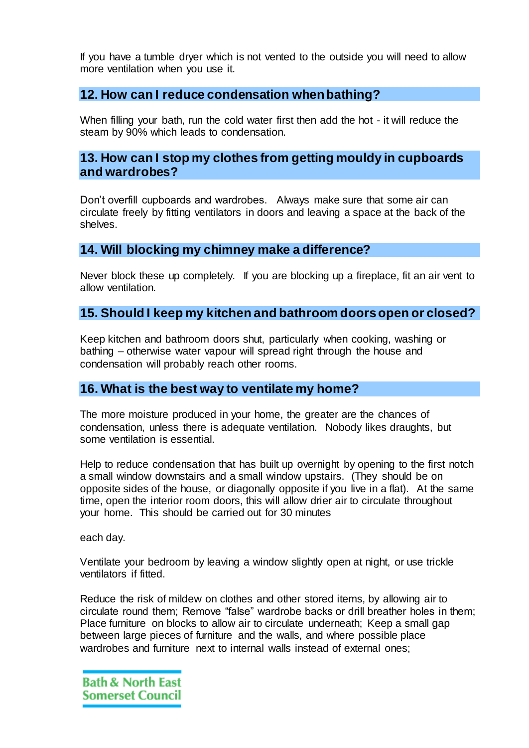If you have a tumble dryer which is not vented to the outside you will need to allow more ventilation when you use it.

## **12. How can I reduce condensation when bathing?**

When filling your bath, run the cold water first then add the hot - it will reduce the steam by 90% which leads to condensation.

#### **13. How can I stop my clothes from getting mouldy in cupboards and wardrobes?**

Don't overfill cupboards and wardrobes. Always make sure that some air can circulate freely by fitting ventilators in doors and leaving a space at the back of the shelves.

#### **14. Will blocking my chimney make a difference?**

Never block these up completely. If you are blocking up a fireplace, fit an air vent to allow ventilation.

### **15. Should I keep my kitchen and bathroom doors open or closed?**

Keep kitchen and bathroom doors shut, particularly when cooking, washing or bathing – otherwise water vapour will spread right through the house and condensation will probably reach other rooms.

#### **16. What is the best way to ventilate my home?**

The more moisture produced in your home, the greater are the chances of condensation, unless there is adequate ventilation. Nobody likes draughts, but some ventilation is essential.

Help to reduce condensation that has built up overnight by opening to the first notch a small window downstairs and a small window upstairs. (They should be on opposite sides of the house, or diagonally opposite if you live in a flat). At the same time, open the interior room doors, this will allow drier air to circulate throughout your home. This should be carried out for 30 minutes

each day.

Ventilate your bedroom by leaving a window slightly open at night, or use trickle ventilators if fitted.

Reduce the risk of mildew on clothes and other stored items, by allowing air to circulate round them; Remove "false" wardrobe backs or drill breather holes in them; Place furniture on blocks to allow air to circulate underneath; Keep a small gap between large pieces of furniture and the walls, and where possible place wardrobes and furniture next to internal walls instead of external ones;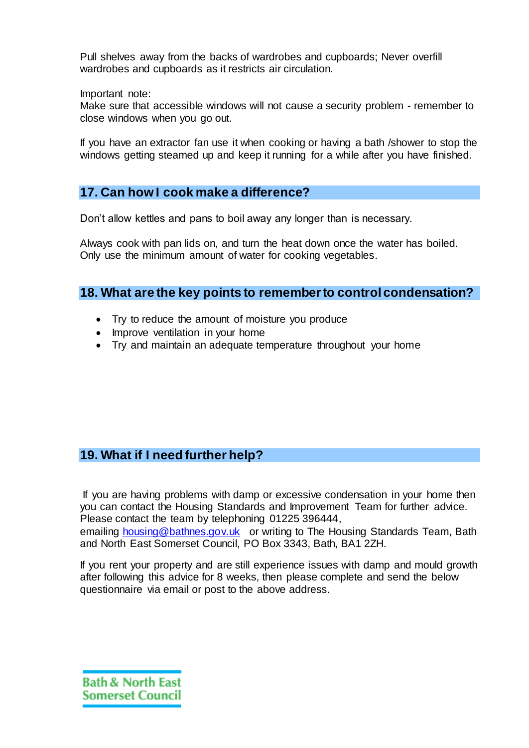Pull shelves away from the backs of wardrobes and cupboards; Never overfill wardrobes and cupboards as it restricts air circulation.

Important note:

Make sure that accessible windows will not cause a security problem - remember to close windows when you go out.

If you have an extractor fan use it when cooking or having a bath /shower to stop the windows getting steamed up and keep it running for a while after you have finished.

# **17. Can how I cook make a difference?**

Don't allow kettles and pans to boil away any longer than is necessary.

Always cook with pan lids on, and turn the heat down once the water has boiled. Only use the minimum amount of water for cooking vegetables.

## **18. What are the key points to remember to control condensation?**

- Try to reduce the amount of moisture you produce
- Improve ventilation in your home
- Try and maintain an adequate temperature throughout your home

# **19. What if I need further help?**

If you are having problems with damp or excessive condensation in your home then you can contact the Housing Standards and Improvement Team for further advice. Please contact the team by telephoning 01225 396444,

emailing [housing@bathnes.gov.uk](mailto:housing@bathnes.gov.uk) or writing to The Housing Standards Team, Bath and North East Somerset Council, PO Box 3343, Bath, BA1 2ZH.

If you rent your property and are still experience issues with damp and mould growth after following this advice for 8 weeks, then please complete and send the below questionnaire via email or post to the above address.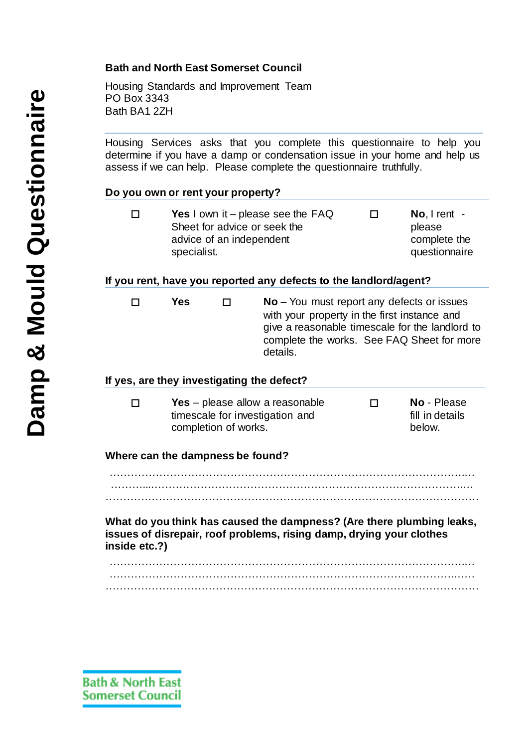#### **Bath and North East Somerset Council**

Housing Standards and Improvement Team PO Box 3343 Bath BA1 2ZH

Housing Services asks that you complete this questionnaire to help you determine if you have a damp or condensation issue in your home and help us assess if we can help. Please complete the questionnaire truthfully.

#### **Do you own or rent your property?**

 **Yes** I own it – please see the FAQ Sheet for advice or seek the advice of an independent specialist. **No**, I rent please complete the questionnaire

#### **If you rent, have you reported any defects to the landlord/agent?**

 **Yes No** – You must report any defects or issues with your property in the first instance and give a reasonable timescale for the landlord to complete the works. See FAQ Sheet for more details.

#### **If yes, are they investigating the defect?**

| <b>Yes</b> – please allow a reasonable | <b>No</b> - Please |
|----------------------------------------|--------------------|
| timescale for investigation and        | fill in details    |
| completion of works.                   | below.             |

#### **Where can the dampness be found?**

……………………………………………………………………………………….… ………...…………………………………………………………………………….… ……………………………………………………………………………………………

**What do you think has caused the dampness? (Are there plumbing leaks, issues of disrepair, roof problems, rising damp, drying your clothes inside etc.?)**

……………………………………………………………………………………….… …………………………………………………………………………………….…… ……………………………………………………………………………………………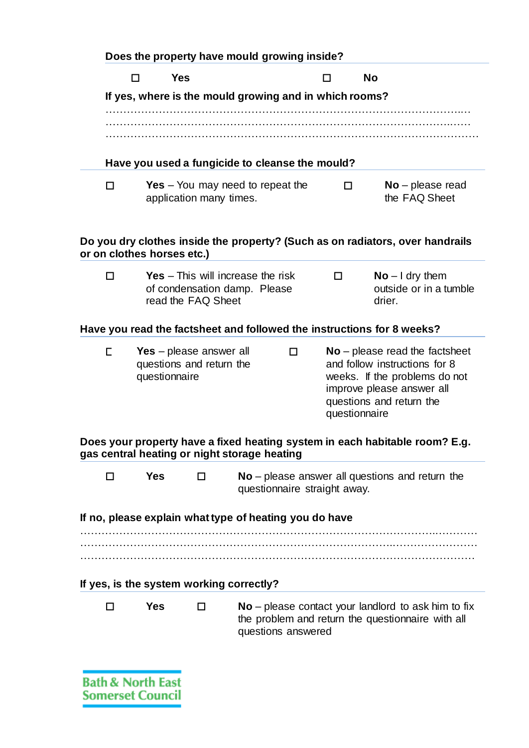|   | Does the property have mould growing inside?                               |                                                                                                |  |                              |                                                                                                                                                                              |                                                                                                            |
|---|----------------------------------------------------------------------------|------------------------------------------------------------------------------------------------|--|------------------------------|------------------------------------------------------------------------------------------------------------------------------------------------------------------------------|------------------------------------------------------------------------------------------------------------|
|   | <b>Yes</b><br>$\Box$                                                       |                                                                                                |  |                              | п                                                                                                                                                                            | <b>No</b>                                                                                                  |
|   | If yes, where is the mould growing and in which rooms?                     |                                                                                                |  |                              |                                                                                                                                                                              |                                                                                                            |
|   |                                                                            |                                                                                                |  |                              |                                                                                                                                                                              |                                                                                                            |
|   |                                                                            |                                                                                                |  |                              |                                                                                                                                                                              |                                                                                                            |
|   | Have you used a fungicide to cleanse the mould?                            |                                                                                                |  |                              |                                                                                                                                                                              |                                                                                                            |
| □ |                                                                            | Yes $-$ You may need to repeat the<br>application many times.                                  |  |                              | П                                                                                                                                                                            | $No$ – please read<br>the FAQ Sheet                                                                        |
|   | or on clothes horses etc.)                                                 |                                                                                                |  |                              |                                                                                                                                                                              | Do you dry clothes inside the property? (Such as on radiators, over handrails                              |
| п |                                                                            | <b>Yes</b> – This will increase the risk<br>of condensation damp. Please<br>read the FAQ Sheet |  |                              | п                                                                                                                                                                            | $No - I$ dry them<br>outside or in a tumble<br>drier.                                                      |
|   |                                                                            |                                                                                                |  |                              |                                                                                                                                                                              | Have you read the factsheet and followed the instructions for 8 weeks?                                     |
| E | Yes - please answer all<br>0.<br>questions and return the<br>questionnaire |                                                                                                |  |                              | $No$ – please read the factsheet<br>and follow instructions for 8<br>weeks. If the problems do not<br>improve please answer all<br>questions and return the<br>questionnaire |                                                                                                            |
|   | gas central heating or night storage heating                               |                                                                                                |  |                              |                                                                                                                                                                              | Does your property have a fixed heating system in each habitable room? E.g.                                |
| □ | <b>Yes</b>                                                                 | п                                                                                              |  | questionnaire straight away. |                                                                                                                                                                              | $No$ – please answer all questions and return the                                                          |
|   | If no, please explain what type of heating you do have                     |                                                                                                |  |                              |                                                                                                                                                                              |                                                                                                            |
|   |                                                                            |                                                                                                |  |                              |                                                                                                                                                                              |                                                                                                            |
|   | If yes, is the system working correctly?                                   |                                                                                                |  |                              |                                                                                                                                                                              |                                                                                                            |
| П | <b>Yes</b>                                                                 | П                                                                                              |  | questions answered           |                                                                                                                                                                              | $No$ – please contact your landlord to ask him to fix<br>the problem and return the questionnaire with all |
|   | <b>Bath &amp; North East</b>                                               |                                                                                                |  |                              |                                                                                                                                                                              |                                                                                                            |

**Somerset Council**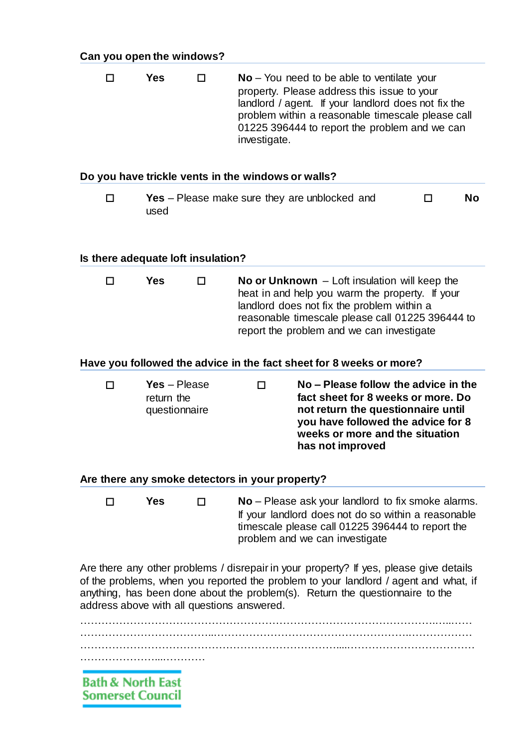| Yes<br>$\Box$ | $No - You need to be able to ventilate your$<br>property. Please address this issue to your<br>landlord / agent. If your landlord does not fix the<br>problem within a reasonable timescale please call<br>01225 396444 to report the problem and we can<br>investigate. |
|---------------|--------------------------------------------------------------------------------------------------------------------------------------------------------------------------------------------------------------------------------------------------------------------------|
|---------------|--------------------------------------------------------------------------------------------------------------------------------------------------------------------------------------------------------------------------------------------------------------------------|

#### **Do you have trickle vents in the windows or walls?**

**T Yes** – Please make sure they are unblocked and used **No**

#### **Is there adequate loft insulation?**

| $\Box$ | Yes | . . | No or Unknown $-$ Loft insulation will keep the<br>heat in and help you warm the property. If your<br>landlord does not fix the problem within a<br>reasonable timescale please call 01225 396444 to |
|--------|-----|-----|------------------------------------------------------------------------------------------------------------------------------------------------------------------------------------------------------|
|        |     |     | report the problem and we can investigate                                                                                                                                                            |

#### **Have you followed the advice in the fact sheet for 8 weeks or more?**

| п | $Yes - Please$ | No – Please follow the advice in the |
|---|----------------|--------------------------------------|
|   | return the     | fact sheet for 8 weeks or more. Do   |
|   | questionnaire  | not return the questionnaire until   |
|   |                | you have followed the advice for 8   |
|   |                | weeks or more and the situation      |
|   |                | has not improved                     |

#### **Are there any smoke detectors in your property?**

 **Yes No** – Please ask your landlord to fix smoke alarms. If your landlord does not do so within a reasonable timescale please call 01225 396444 to report the problem and we can investigate

Are there any other problems / disrepair in your property? If yes, please give details of the problems, when you reported the problem to your landlord / agent and what, if anything, has been done about the problem(s). Return the questionnaire to the address above with all questions answered.

……………………………………………………………………………………….…..…… ………………………………..……………………………………………….……………… ………………………………………………………………....……………………………… …………………………………………